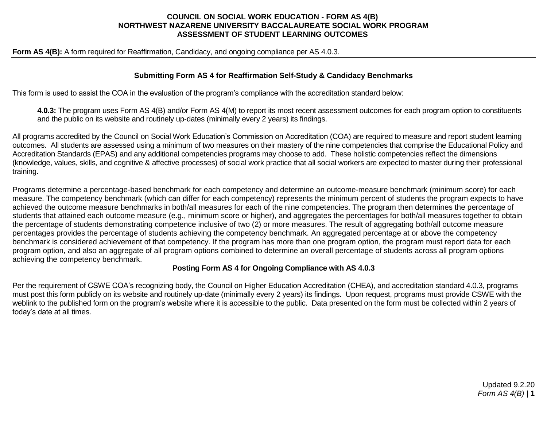## **COUNCIL ON SOCIAL WORK EDUCATION - FORM AS 4(B) NORTHWEST NAZARENE UNIVERSITY BACCALAUREATE SOCIAL WORK PROGRAM ASSESSMENT OF STUDENT LEARNING OUTCOMES**

**Form AS 4(B):** A form required for Reaffirmation, Candidacy, and ongoing compliance per AS 4.0.3.

### **Submitting Form AS 4 for Reaffirmation Self-Study & Candidacy Benchmarks**

This form is used to assist the COA in the evaluation of the program's compliance with the accreditation standard below:

**4.0.3:** The program uses Form AS 4(B) and/or Form AS 4(M) to report its most recent assessment outcomes for each program option to constituents and the public on its website and routinely up-dates (minimally every 2 years) its findings.

All programs accredited by the Council on Social Work Education's Commission on Accreditation (COA) are required to measure and report student learning outcomes. All students are assessed using a minimum of two measures on their mastery of the nine competencies that comprise the Educational Policy and Accreditation Standards (EPAS) and any additional competencies programs may choose to add. These holistic competencies reflect the dimensions (knowledge, values, skills, and cognitive & affective processes) of social work practice that all social workers are expected to master during their professional training.

Programs determine a percentage-based benchmark for each competency and determine an outcome-measure benchmark (minimum score) for each measure. The competency benchmark (which can differ for each competency) represents the minimum percent of students the program expects to have achieved the outcome measure benchmarks in both/all measures for each of the nine competencies. The program then determines the percentage of students that attained each outcome measure (e.g., minimum score or higher), and aggregates the percentages for both/all measures together to obtain the percentage of students demonstrating competence inclusive of two (2) or more measures. The result of aggregating both/all outcome measure percentages provides the percentage of students achieving the competency benchmark. An aggregated percentage at or above the competency benchmark is considered achievement of that competency. If the program has more than one program option, the program must report data for each program option, and also an aggregate of all program options combined to determine an overall percentage of students across all program options achieving the competency benchmark.

## **Posting Form AS 4 for Ongoing Compliance with AS 4.0.3**

Per the requirement of CSWE COA's recognizing body, the Council on Higher Education Accreditation (CHEA), and accreditation standard 4.0.3, programs must post this form publicly on its website and routinely up-date (minimally every 2 years) its findings. Upon request, programs must provide CSWE with the weblink to the published form on the program's website where it is accessible to the public. Data presented on the form must be collected within 2 years of today's date at all times.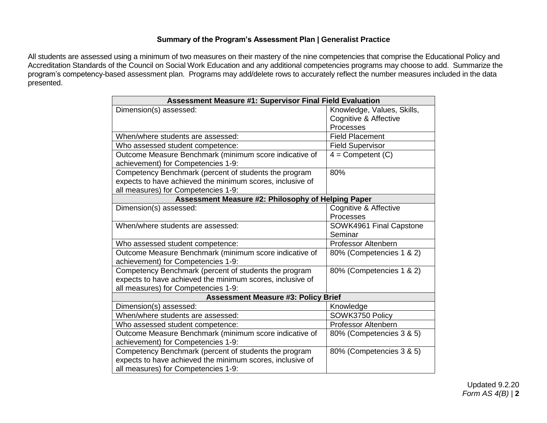# **Summary of the Program's Assessment Plan | Generalist Practice**

All students are assessed using a minimum of two measures on their mastery of the nine competencies that comprise the Educational Policy and Accreditation Standards of the Council on Social Work Education and any additional competencies programs may choose to add. Summarize the program's competency-based assessment plan. Programs may add/delete rows to accurately reflect the number measures included in the data presented.

| <b>Assessment Measure #1: Supervisor Final Field Evaluation</b>                              |                            |  |
|----------------------------------------------------------------------------------------------|----------------------------|--|
| Dimension(s) assessed:                                                                       | Knowledge, Values, Skills, |  |
|                                                                                              | Cognitive & Affective      |  |
|                                                                                              | Processes                  |  |
| When/where students are assessed:                                                            | <b>Field Placement</b>     |  |
| Who assessed student competence:                                                             | <b>Field Supervisor</b>    |  |
| Outcome Measure Benchmark (minimum score indicative of<br>achievement) for Competencies 1-9: | $4 =$ Competent $(C)$      |  |
| Competency Benchmark (percent of students the program                                        | 80%                        |  |
| expects to have achieved the minimum scores, inclusive of                                    |                            |  |
| all measures) for Competencies 1-9:                                                          |                            |  |
| Assessment Measure #2: Philosophy of Helping Paper                                           |                            |  |
| Dimension(s) assessed:                                                                       | Cognitive & Affective      |  |
|                                                                                              | Processes                  |  |
| When/where students are assessed:                                                            | SOWK4961 Final Capstone    |  |
|                                                                                              | Seminar                    |  |
| Who assessed student competence:                                                             | <b>Professor Altenbern</b> |  |
| Outcome Measure Benchmark (minimum score indicative of                                       | 80% (Competencies 1 & 2)   |  |
| achievement) for Competencies 1-9:                                                           |                            |  |
| Competency Benchmark (percent of students the program                                        | 80% (Competencies 1 & 2)   |  |
| expects to have achieved the minimum scores, inclusive of                                    |                            |  |
| all measures) for Competencies 1-9:                                                          |                            |  |
| <b>Assessment Measure #3: Policy Brief</b>                                                   |                            |  |
| Dimension(s) assessed:                                                                       | Knowledge                  |  |
| When/where students are assessed:                                                            | SOWK3750 Policy            |  |
| Who assessed student competence:                                                             | <b>Professor Altenbern</b> |  |
| Outcome Measure Benchmark (minimum score indicative of                                       | 80% (Competencies 3 & 5)   |  |
| achievement) for Competencies 1-9:                                                           |                            |  |
| Competency Benchmark (percent of students the program                                        | 80% (Competencies 3 & 5)   |  |
| expects to have achieved the minimum scores, inclusive of                                    |                            |  |
| all measures) for Competencies 1-9:                                                          |                            |  |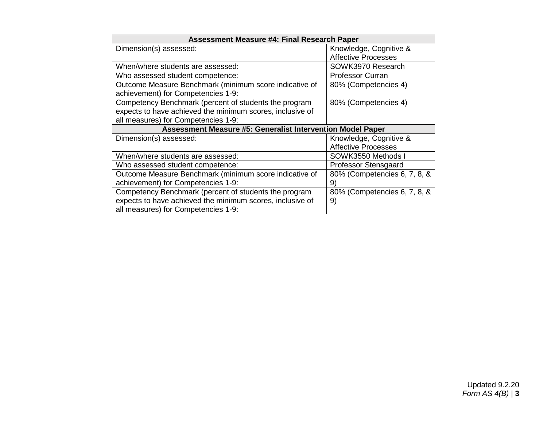| <b>Assessment Measure #4: Final Research Paper</b>         |                              |  |
|------------------------------------------------------------|------------------------------|--|
| Dimension(s) assessed:                                     | Knowledge, Cognitive &       |  |
|                                                            | <b>Affective Processes</b>   |  |
| When/where students are assessed:                          | SOWK3970 Research            |  |
| Who assessed student competence:                           | <b>Professor Curran</b>      |  |
| Outcome Measure Benchmark (minimum score indicative of     | 80% (Competencies 4)         |  |
| achievement) for Competencies 1-9:                         |                              |  |
| Competency Benchmark (percent of students the program      | 80% (Competencies 4)         |  |
| expects to have achieved the minimum scores, inclusive of  |                              |  |
| all measures) for Competencies 1-9:                        |                              |  |
| Assessment Measure #5: Generalist Intervention Model Paper |                              |  |
| Dimension(s) assessed:                                     | Knowledge, Cognitive &       |  |
|                                                            | <b>Affective Processes</b>   |  |
| When/where students are assessed:                          | SOWK3550 Methods I           |  |
| Who assessed student competence:                           | Professor Stensgaard         |  |
| Outcome Measure Benchmark (minimum score indicative of     | 80% (Competencies 6, 7, 8, & |  |
| achievement) for Competencies 1-9:                         | 9)                           |  |
| Competency Benchmark (percent of students the program      | 80% (Competencies 6, 7, 8, & |  |
| expects to have achieved the minimum scores, inclusive of  | 9)                           |  |
| all measures) for Competencies 1-9:                        |                              |  |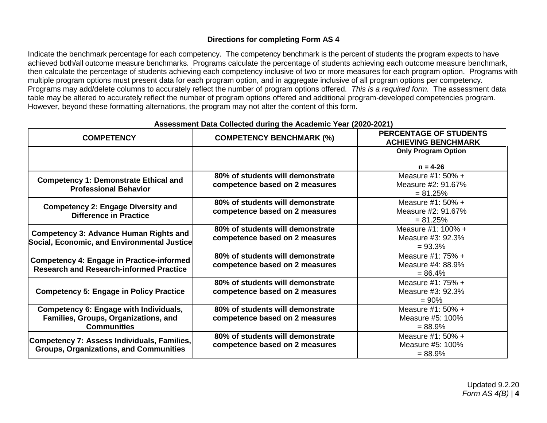# **Directions for completing Form AS 4**

Indicate the benchmark percentage for each competency. The competency benchmark is the percent of students the program expects to have achieved both/all outcome measure benchmarks. Programs calculate the percentage of students achieving each outcome measure benchmark, then calculate the percentage of students achieving each competency inclusive of two or more measures for each program option. Programs with multiple program options must present data for each program option, and in aggregate inclusive of all program options per competency. Programs may add/delete columns to accurately reflect the number of program options offered. *This is a required form.* The assessment data table may be altered to accurately reflect the number of program options offered and additional program-developed competencies program. However, beyond these formatting alternations, the program may not alter the content of this form.

| <b>COMPETENCY</b>                                                                                  | <b>COMPETENCY BENCHMARK (%)</b>  | PERCENTAGE OF STUDENTS<br><b>ACHIEVING BENCHMARK</b> |
|----------------------------------------------------------------------------------------------------|----------------------------------|------------------------------------------------------|
|                                                                                                    |                                  | <b>Only Program Option</b>                           |
|                                                                                                    |                                  | $n = 4-26$                                           |
| <b>Competency 1: Demonstrate Ethical and</b><br><b>Professional Behavior</b>                       | 80% of students will demonstrate | Measure #1: 50% +                                    |
|                                                                                                    | competence based on 2 measures   | Measure #2: 91.67%                                   |
|                                                                                                    |                                  | $= 81.25%$                                           |
| <b>Competency 2: Engage Diversity and</b><br><b>Difference in Practice</b>                         | 80% of students will demonstrate | Measure #1: $50\% +$                                 |
|                                                                                                    | competence based on 2 measures   | Measure #2: 91.67%                                   |
|                                                                                                    |                                  | $= 81.25%$                                           |
| <b>Competency 3: Advance Human Rights and</b>                                                      | 80% of students will demonstrate | Measure #1: 100% +                                   |
| Social, Economic, and Environmental Justice                                                        | competence based on 2 measures   | Measure #3: 92.3%                                    |
|                                                                                                    |                                  | $= 93.3%$                                            |
| <b>Competency 4: Engage in Practice-informed</b><br><b>Research and Research-informed Practice</b> | 80% of students will demonstrate | Measure $#1: 75\% +$                                 |
|                                                                                                    | competence based on 2 measures   | Measure #4: 88.9%                                    |
|                                                                                                    |                                  | $= 86.4%$                                            |
| <b>Competency 5: Engage in Policy Practice</b>                                                     | 80% of students will demonstrate | Measure #1: 75% +                                    |
|                                                                                                    | competence based on 2 measures   | Measure #3: 92.3%                                    |
|                                                                                                    |                                  | $= 90\%$                                             |
| Competency 6: Engage with Individuals,                                                             | 80% of students will demonstrate | Measure #1: $50\% +$                                 |
| Families, Groups, Organizations, and                                                               | competence based on 2 measures   | Measure #5: 100%                                     |
| <b>Communities</b>                                                                                 |                                  | $= 88.9\%$                                           |
| Competency 7: Assess Individuals, Families,<br><b>Groups, Organizations, and Communities</b>       | 80% of students will demonstrate | Measure #1: $50\% +$                                 |
|                                                                                                    | competence based on 2 measures   | Measure #5: 100%                                     |
|                                                                                                    |                                  | $= 88.9%$                                            |

#### **Assessment Data Collected during the Academic Year (2020-2021)**

Updated 9.2.20 *Form AS 4(B)* | **4**